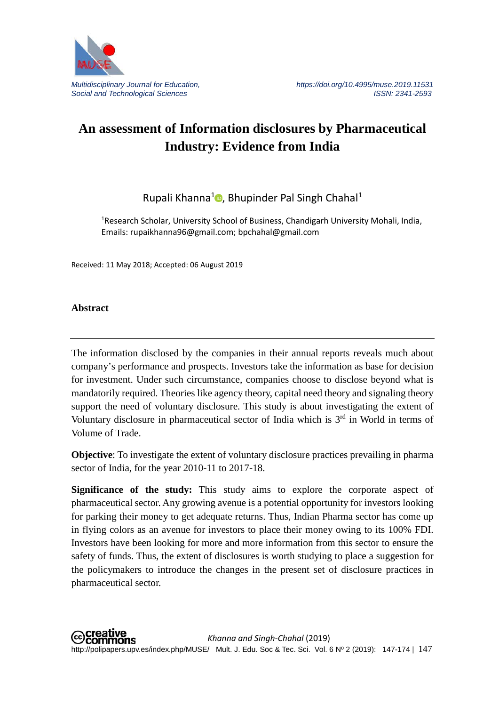

## **An assessment of Information disclosures by Pharmaceutical Industry: Evidence from India**

Rupali Khanna<sup>[1](https://orcid.org/0000-0002-5469-0399)</sup> , Bhupinder Pal Singh Chahal<sup>1</sup>

<sup>1</sup>Research Scholar, University School of Business, Chandigarh University Mohali, India, Emails: rupaikhanna96@gmail.com; bpchahal@gmail.com

Received: 11 May 2018; Accepted: 06 August 2019

**Abstract** 

The information disclosed by the companies in their annual reports reveals much about company's performance and prospects. Investors take the information as base for decision for investment. Under such circumstance, companies choose to disclose beyond what is mandatorily required. Theories like agency theory, capital need theory and signaling theory support the need of voluntary disclosure. This study is about investigating the extent of Voluntary disclosure in pharmaceutical sector of India which is  $3<sup>rd</sup>$  in World in terms of Volume of Trade.

**Objective**: To investigate the extent of voluntary disclosure practices prevailing in pharma sector of India, for the year 2010-11 to 2017-18.

**Significance of the study:** This study aims to explore the corporate aspect of pharmaceutical sector. Any growing avenue is a potential opportunity for investors looking for parking their money to get adequate returns. Thus, Indian Pharma sector has come up in flying colors as an avenue for investors to place their money owing to its 100% FDI. Investors have been looking for more and more information from this sector to ensure the safety of funds. Thus, the extent of disclosures is worth studying to place a suggestion for the policymakers to introduce the changes in the present set of disclosure practices in pharmaceutical sector.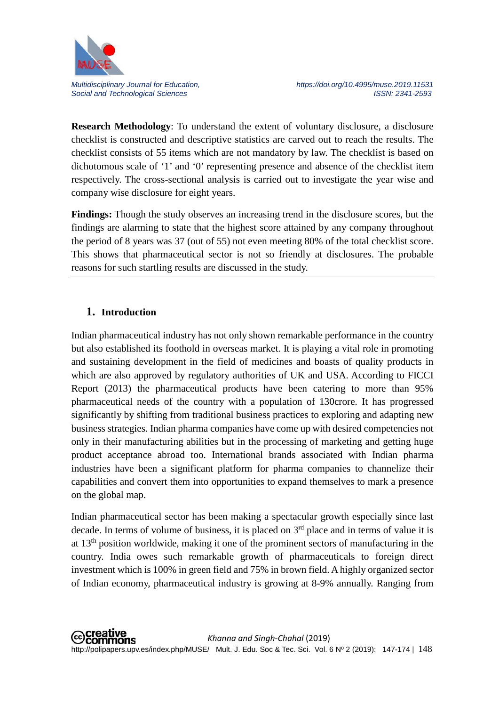

**Research Methodology**: To understand the extent of voluntary disclosure, a disclosure checklist is constructed and descriptive statistics are carved out to reach the results. The checklist consists of 55 items which are not mandatory by law. The checklist is based on dichotomous scale of '1' and '0' representing presence and absence of the checklist item respectively. The cross-sectional analysis is carried out to investigate the year wise and company wise disclosure for eight years.

**Findings:** Though the study observes an increasing trend in the disclosure scores, but the findings are alarming to state that the highest score attained by any company throughout the period of 8 years was 37 (out of 55) not even meeting 80% of the total checklist score. This shows that pharmaceutical sector is not so friendly at disclosures. The probable reasons for such startling results are discussed in the study.

## **1. Introduction**

Indian pharmaceutical industry has not only shown remarkable performance in the country but also established its foothold in overseas market. It is playing a vital role in promoting and sustaining development in the field of medicines and boasts of quality products in which are also approved by regulatory authorities of UK and USA. According to FICCI Report (2013) the pharmaceutical products have been catering to more than 95% pharmaceutical needs of the country with a population of 130crore. It has progressed significantly by shifting from traditional business practices to exploring and adapting new business strategies. Indian pharma companies have come up with desired competencies not only in their manufacturing abilities but in the processing of marketing and getting huge product acceptance abroad too. International brands associated with Indian pharma industries have been a significant platform for pharma companies to channelize their capabilities and convert them into opportunities to expand themselves to mark a presence on the global map.

Indian pharmaceutical sector has been making a spectacular growth especially since last decade. In terms of volume of business, it is placed on  $3<sup>rd</sup>$  place and in terms of value it is at  $13<sup>th</sup>$  position worldwide, making it one of the prominent sectors of manufacturing in the country. India owes such remarkable growth of pharmaceuticals to foreign direct investment which is 100% in green field and 75% in brown field. A highly organized sector of Indian economy, pharmaceutical industry is growing at 8-9% annually. Ranging from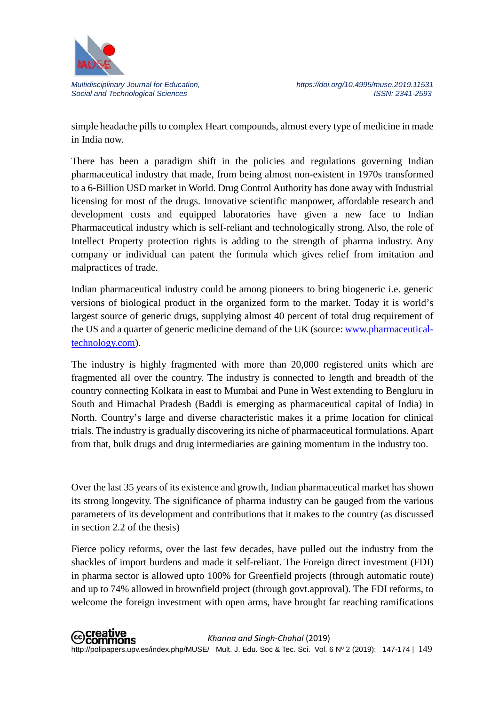

simple headache pills to complex Heart compounds, almost every type of medicine in made in India now.

There has been a paradigm shift in the policies and regulations governing Indian pharmaceutical industry that made, from being almost non-existent in 1970s transformed to a 6-Billion USD market in World. Drug Control Authority has done away with Industrial licensing for most of the drugs. Innovative scientific manpower, affordable research and development costs and equipped laboratories have given a new face to Indian Pharmaceutical industry which is self-reliant and technologically strong. Also, the role of Intellect Property protection rights is adding to the strength of pharma industry. Any company or individual can patent the formula which gives relief from imitation and malpractices of trade.

Indian pharmaceutical industry could be among pioneers to bring biogeneric i.e. generic versions of biological product in the organized form to the market. Today it is world's largest source of generic drugs, supplying almost 40 percent of total drug requirement of the US and a quarter of generic medicine demand of the UK (source: [www.pharmaceutical](http://www.pharmaceutical-technology.com/)[technology.com\)](http://www.pharmaceutical-technology.com/).

The industry is highly fragmented with more than 20,000 registered units which are fragmented all over the country. The industry is connected to length and breadth of the country connecting Kolkata in east to Mumbai and Pune in West extending to Bengluru in South and Himachal Pradesh (Baddi is emerging as pharmaceutical capital of India) in North. Country's large and diverse characteristic makes it a prime location for clinical trials. The industry is gradually discovering its niche of pharmaceutical formulations. Apart from that, bulk drugs and drug intermediaries are gaining momentum in the industry too.

Over the last 35 years of its existence and growth, Indian pharmaceutical market has shown its strong longevity. The significance of pharma industry can be gauged from the various parameters of its development and contributions that it makes to the country (as discussed in section 2.2 of the thesis)

Fierce policy reforms, over the last few decades, have pulled out the industry from the shackles of import burdens and made it self-reliant. The Foreign direct investment (FDI) in pharma sector is allowed upto 100% for Greenfield projects (through automatic route) and up to 74% allowed in brownfield project (through govt.approval). The FDI reforms, to welcome the foreign investment with open arms, have brought far reaching ramifications

**⊙Creative**<br>
©Commons *Khanna and Singh-Chahal* (2019) http://polipapers.upv.es/index.php/MUSE/ Mult. J. Edu. Soc & Tec. Sci. Vol. 6 Nº 2 (2019): 147-174 | 149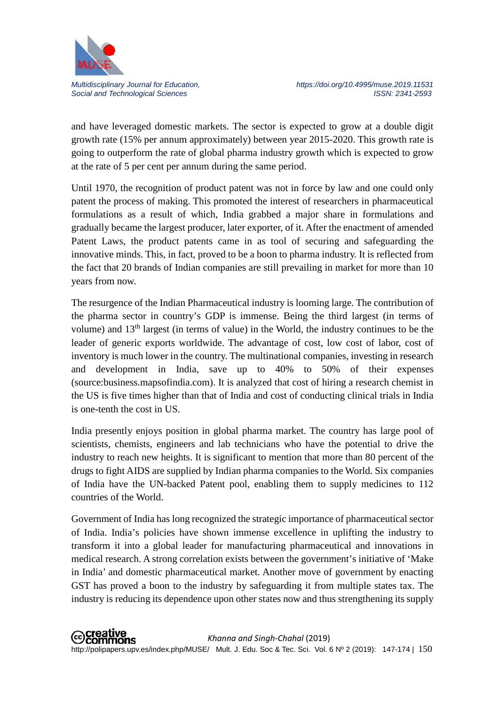

and have leveraged domestic markets. The sector is expected to grow at a double digit growth rate (15% per annum approximately) between year 2015-2020. This growth rate is going to outperform the rate of global pharma industry growth which is expected to grow at the rate of 5 per cent per annum during the same period.

Until 1970, the recognition of product patent was not in force by law and one could only patent the process of making. This promoted the interest of researchers in pharmaceutical formulations as a result of which, India grabbed a major share in formulations and gradually became the largest producer, later exporter, of it. After the enactment of amended Patent Laws, the product patents came in as tool of securing and safeguarding the innovative minds. This, in fact, proved to be a boon to pharma industry. It is reflected from the fact that 20 brands of Indian companies are still prevailing in market for more than 10 years from now.

The resurgence of the Indian Pharmaceutical industry is looming large. The contribution of the pharma sector in country's GDP is immense. Being the third largest (in terms of volume) and 13<sup>th</sup> largest (in terms of value) in the World, the industry continues to be the leader of generic exports worldwide. The advantage of cost, low cost of labor, cost of inventory is much lower in the country. The multinational companies, investing in research and development in India, save up to 40% to 50% of their expenses (source:business.mapsofindia.com). It is analyzed that cost of hiring a research chemist in the US is five times higher than that of India and cost of conducting clinical trials in India is one-tenth the cost in US.

India presently enjoys position in global pharma market. The country has large pool of scientists, chemists, engineers and lab technicians who have the potential to drive the industry to reach new heights. It is significant to mention that more than 80 percent of the drugs to fight AIDS are supplied by Indian pharma companies to the World. Six companies of India have the UN-backed Patent pool, enabling them to supply medicines to 112 countries of the World.

Government of India has long recognized the strategic importance of pharmaceutical sector of India. India's policies have shown immense excellence in uplifting the industry to transform it into a global leader for manufacturing pharmaceutical and innovations in medical research. A strong correlation exists between the government's initiative of 'Make in India' and domestic pharmaceutical market. Another move of government by enacting GST has proved a boon to the industry by safeguarding it from multiple states tax. The industry is reducing its dependence upon other states now and thus strengthening its supply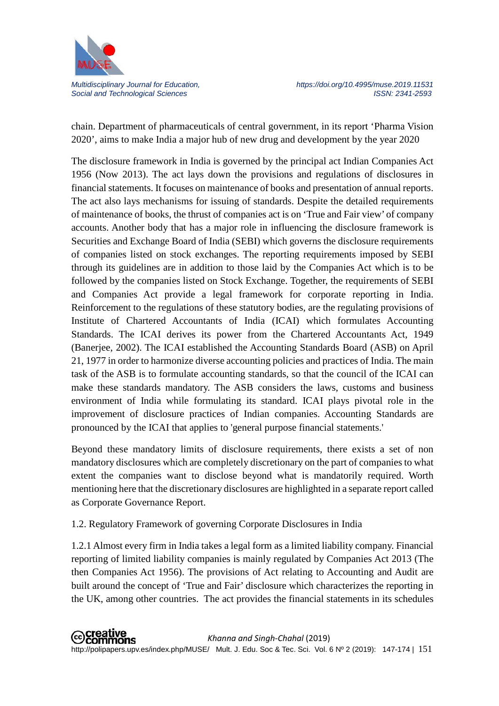

chain. Department of pharmaceuticals of central government, in its report 'Pharma Vision 2020', aims to make India a major hub of new drug and development by the year 2020

The disclosure framework in India is governed by the principal act Indian Companies Act 1956 (Now 2013). The act lays down the provisions and regulations of disclosures in financial statements. It focuses on maintenance of books and presentation of annual reports. The act also lays mechanisms for issuing of standards. Despite the detailed requirements of maintenance of books, the thrust of companies act is on 'True and Fair view' of company accounts. Another body that has a major role in influencing the disclosure framework is Securities and Exchange Board of India (SEBI) which governs the disclosure requirements of companies listed on stock exchanges. The reporting requirements imposed by SEBI through its guidelines are in addition to those laid by the Companies Act which is to be followed by the companies listed on Stock Exchange. Together, the requirements of SEBI and Companies Act provide a legal framework for corporate reporting in India. Reinforcement to the regulations of these statutory bodies, are the regulating provisions of Institute of Chartered Accountants of India (ICAI) which formulates Accounting Standards. The ICAI derives its power from the Chartered Accountants Act, 1949 (Banerjee, 2002). The ICAI established the Accounting Standards Board (ASB) on April 21, 1977 in order to harmonize diverse accounting policies and practices of India. The main task of the ASB is to formulate accounting standards, so that the council of the ICAI can make these standards mandatory. The ASB considers the laws, customs and business environment of India while formulating its standard. ICAI plays pivotal role in the improvement of disclosure practices of Indian companies. Accounting Standards are pronounced by the ICAI that applies to 'general purpose financial statements.'

Beyond these mandatory limits of disclosure requirements, there exists a set of non mandatory disclosures which are completely discretionary on the part of companies to what extent the companies want to disclose beyond what is mandatorily required. Worth mentioning here that the discretionary disclosures are highlighted in a separate report called as Corporate Governance Report.

### 1.2. Regulatory Framework of governing Corporate Disclosures in India

1.2.1 Almost every firm in India takes a legal form as a limited liability company. Financial reporting of limited liability companies is mainly regulated by Companies Act 2013 (The then Companies Act 1956). The provisions of Act relating to Accounting and Audit are built around the concept of 'True and Fair' disclosure which characterizes the reporting in the UK, among other countries. The act provides the financial statements in its schedules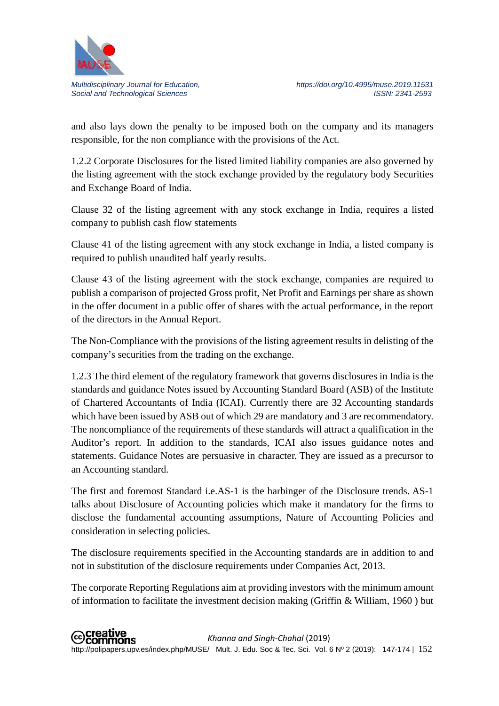

and also lays down the penalty to be imposed both on the company and its managers responsible, for the non compliance with the provisions of the Act.

1.2.2 Corporate Disclosures for the listed limited liability companies are also governed by the listing agreement with the stock exchange provided by the regulatory body Securities and Exchange Board of India.

Clause 32 of the listing agreement with any stock exchange in India, requires a listed company to publish cash flow statements

Clause 41 of the listing agreement with any stock exchange in India, a listed company is required to publish unaudited half yearly results.

Clause 43 of the listing agreement with the stock exchange, companies are required to publish a comparison of projected Gross profit, Net Profit and Earnings per share as shown in the offer document in a public offer of shares with the actual performance, in the report of the directors in the Annual Report.

The Non-Compliance with the provisions of the listing agreement results in delisting of the company's securities from the trading on the exchange.

1.2.3 The third element of the regulatory framework that governs disclosures in India is the standards and guidance Notes issued by Accounting Standard Board (ASB) of the Institute of Chartered Accountants of India (ICAI). Currently there are 32 Accounting standards which have been issued by ASB out of which 29 are mandatory and 3 are recommendatory. The noncompliance of the requirements of these standards will attract a qualification in the Auditor's report. In addition to the standards, ICAI also issues guidance notes and statements. Guidance Notes are persuasive in character. They are issued as a precursor to an Accounting standard.

The first and foremost Standard i.e.AS-1 is the harbinger of the Disclosure trends. AS-1 talks about Disclosure of Accounting policies which make it mandatory for the firms to disclose the fundamental accounting assumptions, Nature of Accounting Policies and consideration in selecting policies.

The disclosure requirements specified in the Accounting standards are in addition to and not in substitution of the disclosure requirements under Companies Act, 2013.

The corporate Reporting Regulations aim at providing investors with the minimum amount of information to facilitate the investment decision making (Griffin & William, 1960 ) but

**⊙Creative**<br>
©Commons *Khanna and Singh-Chahal* (2019) http://polipapers.upv.es/index.php/MUSE/ Mult. J. Edu. Soc & Tec. Sci. Vol. 6 Nº 2 (2019): 147-174 | 152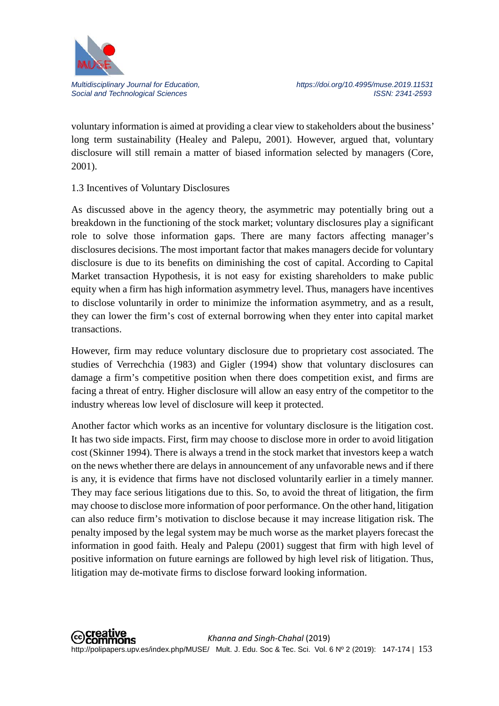

voluntary information is aimed at providing a clear view to stakeholders about the business' long term sustainability (Healey and Palepu, 2001). However, argued that, voluntary disclosure will still remain a matter of biased information selected by managers (Core, 2001).

### 1.3 Incentives of Voluntary Disclosures

As discussed above in the agency theory, the asymmetric may potentially bring out a breakdown in the functioning of the stock market; voluntary disclosures play a significant role to solve those information gaps. There are many factors affecting manager's disclosures decisions. The most important factor that makes managers decide for voluntary disclosure is due to its benefits on diminishing the cost of capital. According to Capital Market transaction Hypothesis, it is not easy for existing shareholders to make public equity when a firm has high information asymmetry level. Thus, managers have incentives to disclose voluntarily in order to minimize the information asymmetry, and as a result, they can lower the firm's cost of external borrowing when they enter into capital market transactions.

However, firm may reduce voluntary disclosure due to proprietary cost associated. The studies of Verrechchia (1983) and Gigler (1994) show that voluntary disclosures can damage a firm's competitive position when there does competition exist, and firms are facing a threat of entry. Higher disclosure will allow an easy entry of the competitor to the industry whereas low level of disclosure will keep it protected.

Another factor which works as an incentive for voluntary disclosure is the litigation cost. It has two side impacts. First, firm may choose to disclose more in order to avoid litigation cost (Skinner 1994). There is always a trend in the stock market that investors keep a watch on the news whether there are delays in announcement of any unfavorable news and if there is any, it is evidence that firms have not disclosed voluntarily earlier in a timely manner. They may face serious litigations due to this. So, to avoid the threat of litigation, the firm may choose to disclose more information of poor performance. On the other hand, litigation can also reduce firm's motivation to disclose because it may increase litigation risk. The penalty imposed by the legal system may be much worse as the market players forecast the information in good faith. Healy and Palepu (2001) suggest that firm with high level of positive information on future earnings are followed by high level risk of litigation. Thus, litigation may de-motivate firms to disclose forward looking information.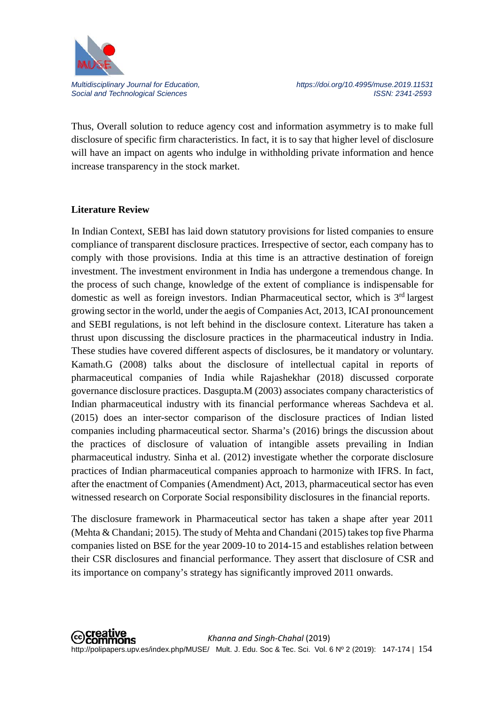

*Multidisciplinary Journal for Education, https://doi.org/10.4995/muse.2019.11531* Social and Technological Sciences **ISSN: 2341-2593** ISSN: 2341-2593

Thus, Overall solution to reduce agency cost and information asymmetry is to make full disclosure of specific firm characteristics. In fact, it is to say that higher level of disclosure will have an impact on agents who indulge in withholding private information and hence increase transparency in the stock market.

#### **Literature Review**

In Indian Context, SEBI has laid down statutory provisions for listed companies to ensure compliance of transparent disclosure practices. Irrespective of sector, each company has to comply with those provisions. India at this time is an attractive destination of foreign investment. The investment environment in India has undergone a tremendous change. In the process of such change, knowledge of the extent of compliance is indispensable for domestic as well as foreign investors. Indian Pharmaceutical sector, which is  $3<sup>rd</sup>$  largest growing sector in the world, under the aegis of Companies Act, 2013, ICAI pronouncement and SEBI regulations, is not left behind in the disclosure context. Literature has taken a thrust upon discussing the disclosure practices in the pharmaceutical industry in India. These studies have covered different aspects of disclosures, be it mandatory or voluntary. Kamath.G (2008) talks about the disclosure of intellectual capital in reports of pharmaceutical companies of India while Rajashekhar (2018) discussed corporate governance disclosure practices. Dasgupta.M (2003) associates company characteristics of Indian pharmaceutical industry with its financial performance whereas Sachdeva et al. (2015) does an inter-sector comparison of the disclosure practices of Indian listed companies including pharmaceutical sector. Sharma's (2016) brings the discussion about the practices of disclosure of valuation of intangible assets prevailing in Indian pharmaceutical industry. Sinha et al. (2012) investigate whether the corporate disclosure practices of Indian pharmaceutical companies approach to harmonize with IFRS. In fact, after the enactment of Companies (Amendment) Act, 2013, pharmaceutical sector has even witnessed research on Corporate Social responsibility disclosures in the financial reports.

The disclosure framework in Pharmaceutical sector has taken a shape after year 2011 (Mehta & Chandani; 2015). The study of Mehta and Chandani (2015) takes top five Pharma companies listed on BSE for the year 2009-10 to 2014-15 and establishes relation between their CSR disclosures and financial performance. They assert that disclosure of CSR and its importance on company's strategy has significantly improved 2011 onwards.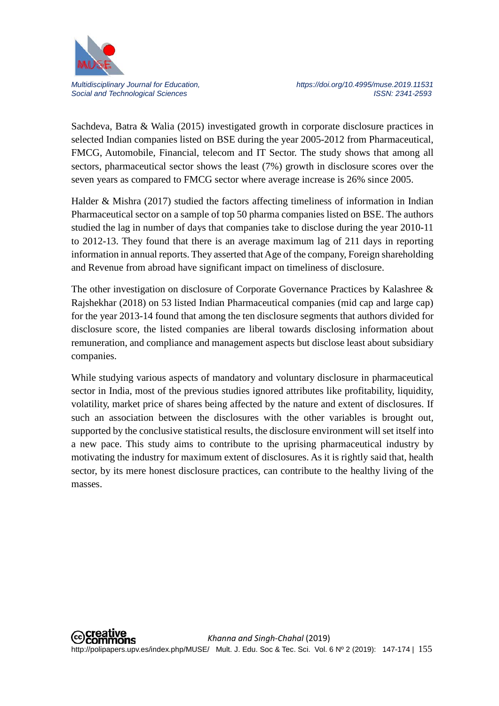

Sachdeva, Batra & Walia (2015) investigated growth in corporate disclosure practices in selected Indian companies listed on BSE during the year 2005-2012 from Pharmaceutical, FMCG, Automobile, Financial, telecom and IT Sector. The study shows that among all sectors, pharmaceutical sector shows the least (7%) growth in disclosure scores over the seven years as compared to FMCG sector where average increase is 26% since 2005.

Halder  $\&$  Mishra (2017) studied the factors affecting timeliness of information in Indian Pharmaceutical sector on a sample of top 50 pharma companies listed on BSE. The authors studied the lag in number of days that companies take to disclose during the year 2010-11 to 2012-13. They found that there is an average maximum lag of 211 days in reporting information in annual reports. They asserted that Age of the company, Foreign shareholding and Revenue from abroad have significant impact on timeliness of disclosure.

The other investigation on disclosure of Corporate Governance Practices by Kalashree & Rajshekhar (2018) on 53 listed Indian Pharmaceutical companies (mid cap and large cap) for the year 2013-14 found that among the ten disclosure segments that authors divided for disclosure score, the listed companies are liberal towards disclosing information about remuneration, and compliance and management aspects but disclose least about subsidiary companies.

While studying various aspects of mandatory and voluntary disclosure in pharmaceutical sector in India, most of the previous studies ignored attributes like profitability, liquidity, volatility, market price of shares being affected by the nature and extent of disclosures. If such an association between the disclosures with the other variables is brought out, supported by the conclusive statistical results, the disclosure environment will set itself into a new pace. This study aims to contribute to the uprising pharmaceutical industry by motivating the industry for maximum extent of disclosures. As it is rightly said that, health sector, by its mere honest disclosure practices, can contribute to the healthy living of the masses.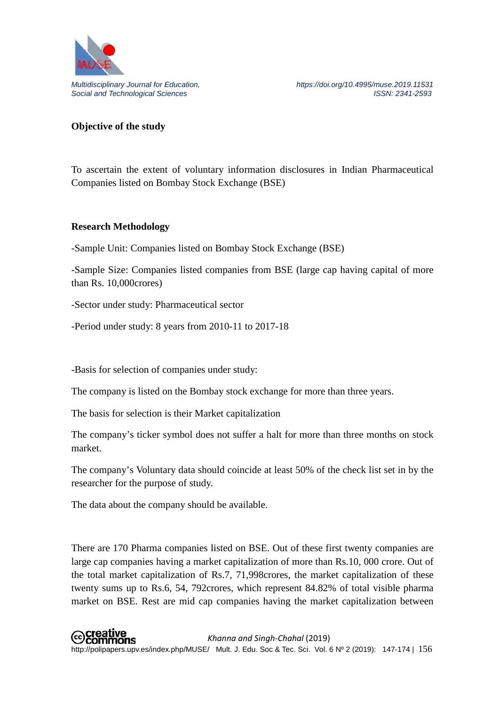

### **Objective of the study**

To ascertain the extent of voluntary information disclosures in Indian Pharmaceutical Companies listed on Bombay Stock Exchange (BSE)

#### **Research Methodology**

-Sample Unit: Companies listed on Bombay Stock Exchange (BSE)

-Sample Size: Companies listed companies from BSE (large cap having capital of more than Rs. 10,000crores)

-Sector under study: Pharmaceutical sector

-Period under study: 8 years from 2010-11 to 2017-18

-Basis for selection of companies under study:

The company is listed on the Bombay stock exchange for more than three years.

The basis for selection is their Market capitalization

The company's ticker symbol does not suffer a halt for more than three months on stock market.

The company's Voluntary data should coincide at least 50% of the check list set in by the researcher for the purpose of study.

The data about the company should be available.

There are 170 Pharma companies listed on BSE. Out of these first twenty companies are large cap companies having a market capitalization of more than Rs.10, 000 crore. Out of the total market capitalization of Rs.7, 71,998crores, the market capitalization of these twenty sums up to Rs.6, 54, 792crores, which represent 84.82% of total visible pharma market on BSE. Rest are mid cap companies having the market capitalization between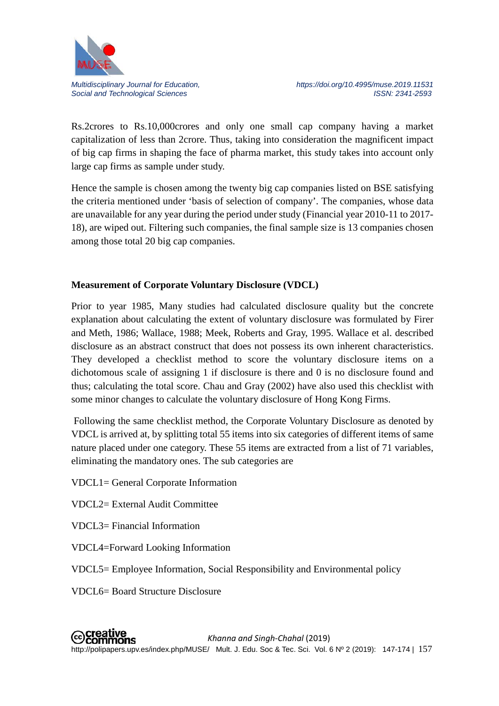

Rs.2crores to Rs.10,000crores and only one small cap company having a market capitalization of less than 2crore. Thus, taking into consideration the magnificent impact of big cap firms in shaping the face of pharma market, this study takes into account only large cap firms as sample under study.

Hence the sample is chosen among the twenty big cap companies listed on BSE satisfying the criteria mentioned under 'basis of selection of company'. The companies, whose data are unavailable for any year during the period under study (Financial year 2010-11 to 2017- 18), are wiped out. Filtering such companies, the final sample size is 13 companies chosen among those total 20 big cap companies.

## **Measurement of Corporate Voluntary Disclosure (VDCL)**

Prior to year 1985, Many studies had calculated disclosure quality but the concrete explanation about calculating the extent of voluntary disclosure was formulated by Firer and Meth, 1986; Wallace, 1988; Meek, Roberts and Gray, 1995. Wallace et al. described disclosure as an abstract construct that does not possess its own inherent characteristics. They developed a checklist method to score the voluntary disclosure items on a dichotomous scale of assigning 1 if disclosure is there and 0 is no disclosure found and thus; calculating the total score. Chau and Gray (2002) have also used this checklist with some minor changes to calculate the voluntary disclosure of Hong Kong Firms.

Following the same checklist method, the Corporate Voluntary Disclosure as denoted by VDCL is arrived at, by splitting total 55 items into six categories of different items of same nature placed under one category. These 55 items are extracted from a list of 71 variables, eliminating the mandatory ones. The sub categories are

VDCL1= General Corporate Information

VDCL2= External Audit Committee

VDCL3= Financial Information

- VDCL4=Forward Looking Information
- VDCL5= Employee Information, Social Responsibility and Environmental policy
- VDCL6= Board Structure Disclosure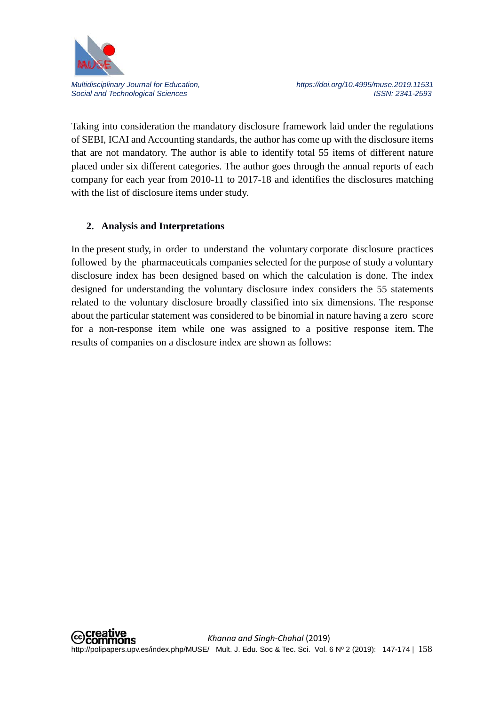

*Multidisciplinary Journal for Education, https://doi.org/10.4995/muse.2019.11531* Social and Technological Sciences **ISSN: 2341-2593** ISSN: 2341-2593

Taking into consideration the mandatory disclosure framework laid under the regulations of SEBI, ICAI and Accounting standards, the author has come up with the disclosure items that are not mandatory. The author is able to identify total 55 items of different nature placed under six different categories. The author goes through the annual reports of each company for each year from 2010-11 to 2017-18 and identifies the disclosures matching with the list of disclosure items under study.

## **2. Analysis and Interpretations**

In the present study, in order to understand the voluntary corporate disclosure practices followed by the pharmaceuticals companies selected for the purpose of study a voluntary disclosure index has been designed based on which the calculation is done. The index designed for understanding the voluntary disclosure index considers the 55 statements related to the voluntary disclosure broadly classified into six dimensions. The response about the particular statement was considered to be binomial in nature having a zero score for a non-response item while one was assigned to a positive response item. The results of companies on a disclosure index are shown as follows: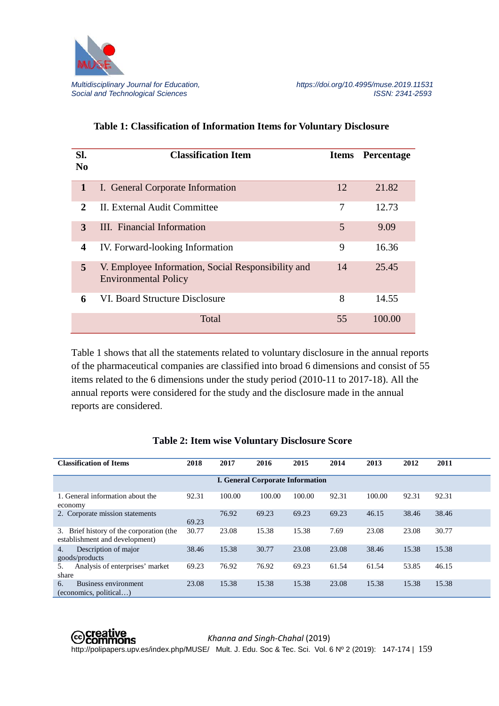

| SI.<br>$\bf No$             | <b>Classification Item</b>                                                        |    | <b>Items</b> Percentage |
|-----------------------------|-----------------------------------------------------------------------------------|----|-------------------------|
| $\mathbf 1$                 | I. General Corporate Information                                                  | 12 | 21.82                   |
| $\mathcal{D}_{\mathcal{L}}$ | II. External Audit Committee                                                      | 7  | 12.73                   |
| 3                           | III. Financial Information                                                        | 5  | 9.09                    |
| 4                           | IV. Forward-looking Information                                                   | 9  | 16.36                   |
| 5 <sup>5</sup>              | V. Employee Information, Social Responsibility and<br><b>Environmental Policy</b> | 14 | 25.45                   |
| 6                           | VI. Board Structure Disclosure                                                    | 8  | 14.55                   |
|                             | <b>Total</b>                                                                      | 55 | 100.00                  |

## **Table 1: Classification of Information Items for Voluntary Disclosure**

Table 1 shows that all the statements related to voluntary disclosure in the annual reports of the pharmaceutical companies are classified into broad 6 dimensions and consist of 55 items related to the 6 dimensions under the study period (2010-11 to 2017-18). All the annual reports were considered for the study and the disclosure made in the annual reports are considered.

| <b>Classification of Items</b>                                                | 2018  | 2017   | 2016                                    | 2015   | 2014  | 2013   | 2012  | 2011  |
|-------------------------------------------------------------------------------|-------|--------|-----------------------------------------|--------|-------|--------|-------|-------|
|                                                                               |       |        | <b>I. General Corporate Information</b> |        |       |        |       |       |
| 1. General information about the<br>economy                                   | 92.31 | 100.00 | 100.00                                  | 100.00 | 92.31 | 100.00 | 92.31 | 92.31 |
| 2. Corporate mission statements                                               | 69.23 | 76.92  | 69.23                                   | 69.23  | 69.23 | 46.15  | 38.46 | 38.46 |
| Brief history of the corporation (the<br>3.<br>establishment and development) | 30.77 | 23.08  | 15.38                                   | 15.38  | 7.69  | 23.08  | 23.08 | 30.77 |
| Description of major<br>4.<br>goods/products                                  | 38.46 | 15.38  | 30.77                                   | 23.08  | 23.08 | 38.46  | 15.38 | 15.38 |
| Analysis of enterprises' market<br>5.<br>share                                | 69.23 | 76.92  | 76.92                                   | 69.23  | 61.54 | 61.54  | 53.85 | 46.15 |
| <b>Business environment</b><br>6.<br>(economics, political)                   | 23.08 | 15.38  | 15.38                                   | 15.38  | 23.08 | 15.38  | 15.38 | 15.38 |

#### **Table 2: Item wise Voluntary Disclosure Score**

 *Khanna and Singh-Chahal* (2019) http://polipapers.upv.es/index.php/MUSE/ Mult. J. Edu. Soc & Tec. Sci. Vol. 6 Nº 2 (2019): 147-174 | 159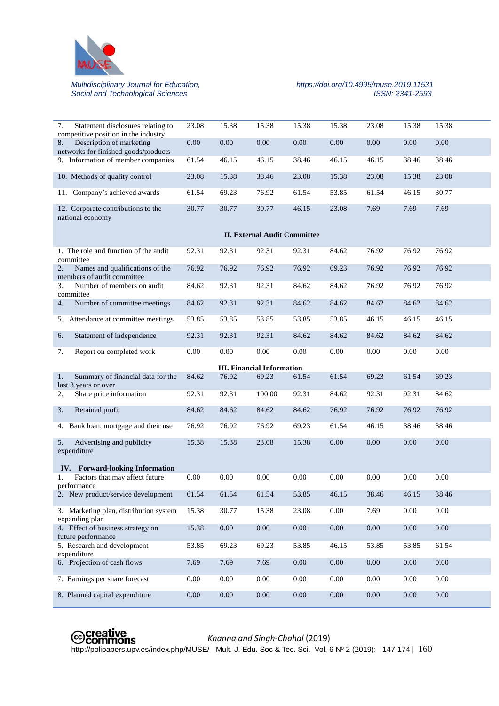

## *Multidisciplinary Journal for Education, https://doi.org/10.4995/muse.2019.11531*

| 7.<br>Statement disclosures relating to<br>competitive position in the industry | 23.08 | 15.38    | 15.38                                      | 15.38    | 15.38 | 23.08 | 15.38    | 15.38    |
|---------------------------------------------------------------------------------|-------|----------|--------------------------------------------|----------|-------|-------|----------|----------|
| Description of marketing<br>8.<br>networks for finished goods/products          | 0.00  | 0.00     | 0.00                                       | 0.00     | 0.00  | 0.00  | 0.00     | 0.00     |
| 9. Information of member companies                                              | 61.54 | 46.15    | 46.15                                      | 38.46    | 46.15 | 46.15 | 38.46    | 38.46    |
| 10. Methods of quality control                                                  | 23.08 | 15.38    | 38.46                                      | 23.08    | 15.38 | 23.08 | 15.38    | 23.08    |
| 11. Company's achieved awards                                                   | 61.54 | 69.23    | 76.92                                      | 61.54    | 53.85 | 61.54 | 46.15    | 30.77    |
| 12. Corporate contributions to the<br>national economy                          | 30.77 | 30.77    | 30.77                                      | 46.15    | 23.08 | 7.69  | 7.69     | 7.69     |
|                                                                                 |       |          | <b>II. External Audit Committee</b>        |          |       |       |          |          |
| 1. The role and function of the audit<br>committee                              | 92.31 | 92.31    | 92.31                                      | 92.31    | 84.62 | 76.92 | 76.92    | 76.92    |
| 2.<br>Names and qualifications of the<br>members of audit committee             | 76.92 | 76.92    | 76.92                                      | 76.92    | 69.23 | 76.92 | 76.92    | 76.92    |
| 3.<br>Number of members on audit<br>committee                                   | 84.62 | 92.31    | 92.31                                      | 84.62    | 84.62 | 76.92 | 76.92    | 76.92    |
| Number of committee meetings<br>4.                                              | 84.62 | 92.31    | 92.31                                      | 84.62    | 84.62 | 84.62 | 84.62    | 84.62    |
| 5. Attendance at committee meetings                                             | 53.85 | 53.85    | 53.85                                      | 53.85    | 53.85 | 46.15 | 46.15    | 46.15    |
| Statement of independence<br>6.                                                 | 92.31 | 92.31    | 92.31                                      | 84.62    | 84.62 | 84.62 | 84.62    | 84.62    |
| Report on completed work<br>7.                                                  | 0.00  | 0.00     | 0.00                                       | 0.00     | 0.00  | 0.00  | $0.00\,$ | $0.00\,$ |
|                                                                                 |       |          |                                            |          |       |       |          |          |
|                                                                                 |       |          |                                            |          |       |       |          |          |
| Summary of financial data for the<br>1.                                         | 84.62 | 76.92    | <b>III. Financial Information</b><br>69.23 | 61.54    | 61.54 | 69.23 | 61.54    | 69.23    |
| last 3 years or over<br>Share price information<br>2.                           | 92.31 | 92.31    | 100.00                                     | 92.31    | 84.62 | 92.31 | 92.31    | 84.62    |
| 3.<br>Retained profit                                                           | 84.62 | 84.62    | 84.62                                      | 84.62    | 76.92 | 76.92 | 76.92    | 76.92    |
| 4. Bank loan, mortgage and their use                                            | 76.92 | 76.92    | 76.92                                      | 69.23    | 61.54 | 46.15 | 38.46    | 38.46    |
| Advertising and publicity<br>5.<br>expenditure                                  | 15.38 | 15.38    | 23.08                                      | 15.38    | 0.00  | 0.00  | 0.00     | 0.00     |
| IV. Forward-looking Information                                                 |       |          |                                            |          |       |       |          |          |
| Factors that may affect future<br>performance                                   | 0.00  | 0.00     | 0.00                                       | 0.00     | 0.00  | 0.00  | 0.00     | 0.00     |
| 2. New product/service development                                              | 61.54 | 61.54    | 61.54                                      | 53.85    | 46.15 | 38.46 | 46.15    | 38.46    |
| 3. Marketing plan, distribution system                                          | 15.38 | 30.77    | 15.38                                      | 23.08    | 0.00  | 7.69  | 0.00     | $0.00\,$ |
| expanding plan<br>4. Effect of business strategy on                             | 15.38 | $0.00\,$ | $0.00\,$                                   | $0.00\,$ | 0.00  | 0.00  | $0.00\,$ | $0.00\,$ |
| future performance<br>5. Research and development                               | 53.85 | 69.23    | 69.23                                      | 53.85    | 46.15 | 53.85 | 53.85    | 61.54    |
| expenditure<br>6. Projection of cash flows                                      | 7.69  | 7.69     | 7.69                                       | $0.00\,$ | 0.00  | 0.00  | 0.00     | $0.00\,$ |
| 7. Earnings per share forecast                                                  | 0.00  | 0.00     | 0.00                                       | 0.00     | 0.00  | 0.00  | 0.00     | 0.00     |



#### *Khanna and Singh-Chahal* (2019)

**Coliparers.**<br>http://polipapers.upv.es/index.php/MUSE/ Mult. J. Edu. Soc & Tec. Sci. Vol. 6 Nº 2 (2019): 147-174 | 160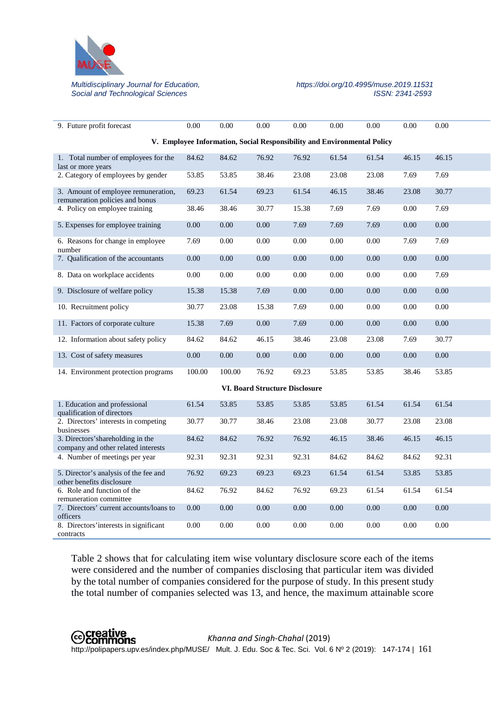

## Social and Technological Sciences

## *Multidisciplinary Journal for Education, https://doi.org/10.4995/muse.2019.11531*

| 9. Future profit forecast                                                | 0.00   | 0.00   | 0.00                                                                    | 0.00     | 0.00  | 0.00  | 0.00  | 0.00     |
|--------------------------------------------------------------------------|--------|--------|-------------------------------------------------------------------------|----------|-------|-------|-------|----------|
|                                                                          |        |        | V. Employee Information, Social Responsibility and Environmental Policy |          |       |       |       |          |
| 1. Total number of employees for the<br>last or more years               | 84.62  | 84.62  | 76.92                                                                   | 76.92    | 61.54 | 61.54 | 46.15 | 46.15    |
| 2. Category of employees by gender                                       | 53.85  | 53.85  | 38.46                                                                   | 23.08    | 23.08 | 23.08 | 7.69  | 7.69     |
| 3. Amount of employee remuneration,<br>remuneration policies and bonus   | 69.23  | 61.54  | 69.23                                                                   | 61.54    | 46.15 | 38.46 | 23.08 | 30.77    |
| 4. Policy on employee training                                           | 38.46  | 38.46  | 30.77                                                                   | 15.38    | 7.69  | 7.69  | 0.00  | 7.69     |
| 5. Expenses for employee training                                        | 0.00   | 0.00   | 0.00                                                                    | 7.69     | 7.69  | 7.69  | 0.00  | 0.00     |
| 6. Reasons for change in employee<br>number                              | 7.69   | 0.00   | 0.00                                                                    | 0.00     | 0.00  | 0.00  | 7.69  | 7.69     |
| 7. Qualification of the accountants                                      | 0.00   | 0.00   | 0.00                                                                    | 0.00     | 0.00  | 0.00  | 0.00  | 0.00     |
| 8. Data on workplace accidents                                           | 0.00   | 0.00   | 0.00                                                                    | 0.00     | 0.00  | 0.00  | 0.00  | 7.69     |
| 9. Disclosure of welfare policy                                          | 15.38  | 15.38  | 7.69                                                                    | 0.00     | 0.00  | 0.00  | 0.00  | 0.00     |
| 10. Recruitment policy                                                   | 30.77  | 23.08  | 15.38                                                                   | 7.69     | 0.00  | 0.00  | 0.00  | 0.00     |
| 11. Factors of corporate culture                                         | 15.38  | 7.69   | 0.00                                                                    | 7.69     | 0.00  | 0.00  | 0.00  | 0.00     |
| 12. Information about safety policy                                      | 84.62  | 84.62  | 46.15                                                                   | 38.46    | 23.08 | 23.08 | 7.69  | 30.77    |
| 13. Cost of safety measures                                              | 0.00   | 0.00   | 0.00                                                                    | 0.00     | 0.00  | 0.00  | 0.00  | 0.00     |
| 14. Environment protection programs                                      | 100.00 | 100.00 | 76.92                                                                   | 69.23    | 53.85 | 53.85 | 38.46 | 53.85    |
|                                                                          |        |        | <b>VI. Board Structure Disclosure</b>                                   |          |       |       |       |          |
| 1. Education and professional<br>qualification of directors              | 61.54  | 53.85  | 53.85                                                                   | 53.85    | 53.85 | 61.54 | 61.54 | 61.54    |
| 2. Directors' interests in competing<br>businesses                       | 30.77  | 30.77  | 38.46                                                                   | 23.08    | 23.08 | 30.77 | 23.08 | 23.08    |
| 3. Directors' shareholding in the<br>company and other related interests | 84.62  | 84.62  | 76.92                                                                   | 76.92    | 46.15 | 38.46 | 46.15 | 46.15    |
| 4. Number of meetings per year                                           | 92.31  | 92.31  | 92.31                                                                   | 92.31    | 84.62 | 84.62 | 84.62 | 92.31    |
| 5. Director's analysis of the fee and<br>other benefits disclosure       | 76.92  | 69.23  | 69.23                                                                   | 69.23    | 61.54 | 61.54 | 53.85 | 53.85    |
| 6. Role and function of the<br>remuneration committee                    | 84.62  | 76.92  | 84.62                                                                   | 76.92    | 69.23 | 61.54 | 61.54 | 61.54    |
| 7. Directors' current accounts/loans to<br>officers                      | 0.00   | 0.00   | 0.00                                                                    | $0.00\,$ | 0.00  | 0.00  | 0.00  | $0.00\,$ |
| 8. Directors' interests in significant<br>contracts                      | 0.00   | 0.00   | 0.00                                                                    | 0.00     | 0.00  | 0.00  | 0.00  | 0.00     |

Table 2 shows that for calculating item wise voluntary disclosure score each of the items were considered and the number of companies disclosing that particular item was divided by the total number of companies considered for the purpose of study. In this present study the total number of companies selected was 13, and hence, the maximum attainable score

 *Khanna and Singh-Chahal* (2019) http://polipapers.upv.es/index.php/MUSE/ Mult. J. Edu. Soc & Tec. Sci. Vol. 6 Nº 2 (2019): 147-174 | 161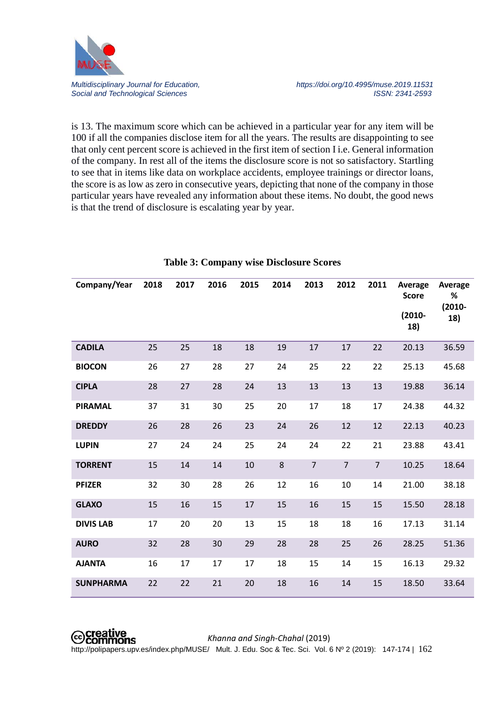

is 13. The maximum score which can be achieved in a particular year for any item will be 100 if all the companies disclose item for all the years. The results are disappointing to see that only cent percent score is achieved in the first item of section I i.e. General information of the company. In rest all of the items the disclosure score is not so satisfactory. Startling to see that in items like data on workplace accidents, employee trainings or director loans, the score is as low as zero in consecutive years, depicting that none of the company in those particular years have revealed any information about these items. No doubt, the good news is that the trend of disclosure is escalating year by year.

| Company/Year     | 2018 | 2017 | 2016 | 2015 | 2014 | 2013           | 2012           | 2011           | Average<br><b>Score</b> | Average<br>%     |
|------------------|------|------|------|------|------|----------------|----------------|----------------|-------------------------|------------------|
|                  |      |      |      |      |      |                |                |                | $(2010 -$<br>18)        | $(2010 -$<br>18) |
| <b>CADILA</b>    | 25   | 25   | 18   | 18   | 19   | 17             | 17             | 22             | 20.13                   | 36.59            |
| <b>BIOCON</b>    | 26   | 27   | 28   | 27   | 24   | 25             | 22             | 22             | 25.13                   | 45.68            |
| <b>CIPLA</b>     | 28   | 27   | 28   | 24   | 13   | 13             | 13             | 13             | 19.88                   | 36.14            |
| <b>PIRAMAL</b>   | 37   | 31   | 30   | 25   | 20   | 17             | 18             | 17             | 24.38                   | 44.32            |
| <b>DREDDY</b>    | 26   | 28   | 26   | 23   | 24   | 26             | 12             | 12             | 22.13                   | 40.23            |
| <b>LUPIN</b>     | 27   | 24   | 24   | 25   | 24   | 24             | 22             | 21             | 23.88                   | 43.41            |
| <b>TORRENT</b>   | 15   | 14   | 14   | 10   | 8    | $\overline{7}$ | $\overline{7}$ | $\overline{7}$ | 10.25                   | 18.64            |
| <b>PFIZER</b>    | 32   | 30   | 28   | 26   | 12   | 16             | 10             | 14             | 21.00                   | 38.18            |
| <b>GLAXO</b>     | 15   | 16   | 15   | 17   | 15   | 16             | 15             | 15             | 15.50                   | 28.18            |
| <b>DIVIS LAB</b> | 17   | 20   | 20   | 13   | 15   | 18             | 18             | 16             | 17.13                   | 31.14            |
| <b>AURO</b>      | 32   | 28   | 30   | 29   | 28   | 28             | 25             | 26             | 28.25                   | 51.36            |
| <b>AJANTA</b>    | 16   | 17   | 17   | 17   | 18   | 15             | 14             | 15             | 16.13                   | 29.32            |
| <b>SUNPHARMA</b> | 22   | 22   | 21   | 20   | 18   | 16             | 14             | 15             | 18.50                   | 33.64            |

#### **Table 3: Company wise Disclosure Scores**

### *Khanna and Singh-Chahal* (2019)

http://polipapers.upv.es/index.php/MUSE/ Mult. J. Edu. Soc & Tec. Sci. Vol. 6 Nº 2 (2019): 147-174 | 162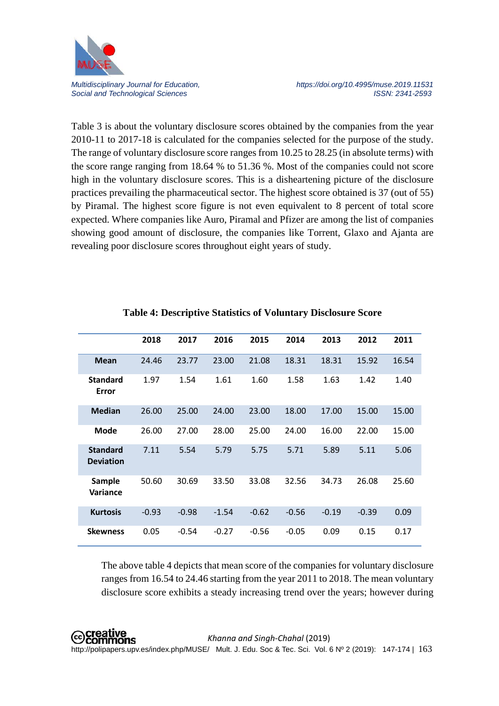

*Multidisciplinary Journal for Education, https://doi.org/10.4995/muse.2019.11531* Social and Technological Sciences **ISSN: 2341-2593** ISSN: 2341-2593

Table 3 is about the voluntary disclosure scores obtained by the companies from the year 2010-11 to 2017-18 is calculated for the companies selected for the purpose of the study. The range of voluntary disclosure score ranges from 10.25 to 28.25 (in absolute terms) with the score range ranging from 18.64 % to 51.36 %. Most of the companies could not score high in the voluntary disclosure scores. This is a disheartening picture of the disclosure practices prevailing the pharmaceutical sector. The highest score obtained is 37 (out of 55) by Piramal. The highest score figure is not even equivalent to 8 percent of total score expected. Where companies like Auro, Piramal and Pfizer are among the list of companies showing good amount of disclosure, the companies like Torrent, Glaxo and Ajanta are revealing poor disclosure scores throughout eight years of study.

|                                     | 2018    | 2017    | 2016    | 2015    | 2014    | 2013    | 2012    | 2011  |
|-------------------------------------|---------|---------|---------|---------|---------|---------|---------|-------|
| <b>Mean</b>                         | 24.46   | 23.77   | 23.00   | 21.08   | 18.31   | 18.31   | 15.92   | 16.54 |
| <b>Standard</b><br>Error            | 1.97    | 1.54    | 1.61    | 1.60    | 1.58    | 1.63    | 1.42    | 1.40  |
| <b>Median</b>                       | 26.00   | 25.00   | 24.00   | 23.00   | 18.00   | 17.00   | 15.00   | 15.00 |
| <b>Mode</b>                         | 26.00   | 27.00   | 28.00   | 25.00   | 24.00   | 16.00   | 22.00   | 15.00 |
| <b>Standard</b><br><b>Deviation</b> | 7.11    | 5.54    | 5.79    | 5.75    | 5.71    | 5.89    | 5.11    | 5.06  |
| Sample<br>Variance                  | 50.60   | 30.69   | 33.50   | 33.08   | 32.56   | 34.73   | 26.08   | 25.60 |
| <b>Kurtosis</b>                     | $-0.93$ | $-0.98$ | $-1.54$ | $-0.62$ | $-0.56$ | $-0.19$ | $-0.39$ | 0.09  |
| <b>Skewness</b>                     | 0.05    | $-0.54$ | $-0.27$ | $-0.56$ | $-0.05$ | 0.09    | 0.15    | 0.17  |

#### **Table 4: Descriptive Statistics of Voluntary Disclosure Score**

The above table 4 depicts that mean score of the companies for voluntary disclosure ranges from 16.54 to 24.46 starting from the year 2011 to 2018. The mean voluntary disclosure score exhibits a steady increasing trend over the years; however during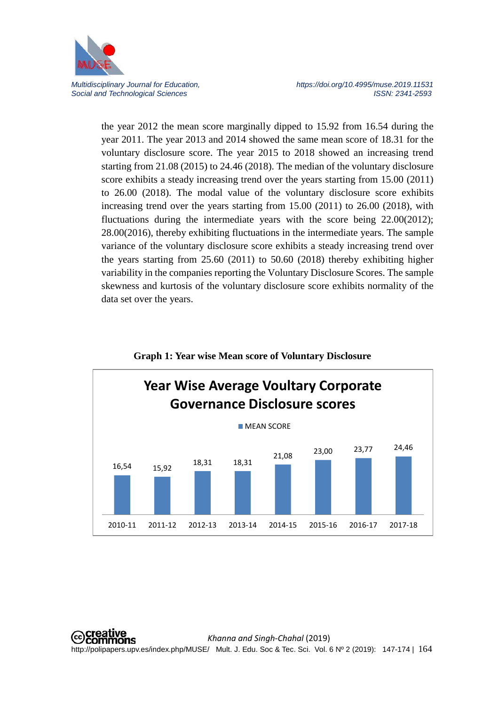

*Multidisciplinary Journal for Education, https://doi.org/10.4995/muse.2019.11531* Social and Technological Sciences **ISSN: 2341-2593** ISSN: 2341-2593

the year 2012 the mean score marginally dipped to 15.92 from 16.54 during the year 2011. The year 2013 and 2014 showed the same mean score of 18.31 for the voluntary disclosure score. The year 2015 to 2018 showed an increasing trend starting from 21.08 (2015) to 24.46 (2018). The median of the voluntary disclosure score exhibits a steady increasing trend over the years starting from 15.00 (2011) to 26.00 (2018). The modal value of the voluntary disclosure score exhibits increasing trend over the years starting from 15.00 (2011) to 26.00 (2018), with fluctuations during the intermediate years with the score being 22.00(2012); 28.00(2016), thereby exhibiting fluctuations in the intermediate years. The sample variance of the voluntary disclosure score exhibits a steady increasing trend over the years starting from 25.60 (2011) to 50.60 (2018) thereby exhibiting higher variability in the companies reporting the Voluntary Disclosure Scores. The sample skewness and kurtosis of the voluntary disclosure score exhibits normality of the data set over the years.



#### **Graph 1: Year wise Mean score of Voluntary Disclosure**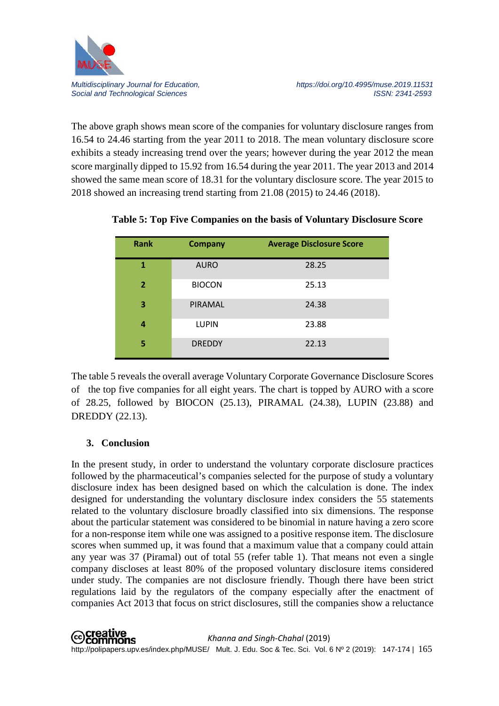

The above graph shows mean score of the companies for voluntary disclosure ranges from 16.54 to 24.46 starting from the year 2011 to 2018. The mean voluntary disclosure score exhibits a steady increasing trend over the years; however during the year 2012 the mean score marginally dipped to 15.92 from 16.54 during the year 2011. The year 2013 and 2014 showed the same mean score of 18.31 for the voluntary disclosure score. The year 2015 to 2018 showed an increasing trend starting from 21.08 (2015) to 24.46 (2018).

| <b>Rank</b>    | <b>Company</b> | <b>Average Disclosure Score</b> |
|----------------|----------------|---------------------------------|
| 1              | <b>AURO</b>    | 28.25                           |
| 2 <sup>1</sup> | <b>BIOCON</b>  | 25.13                           |
| 3              | PIRAMAL        | 24.38                           |
| 4              | <b>LUPIN</b>   | 23.88                           |
| 5              | <b>DREDDY</b>  | 22.13                           |

**Table 5: Top Five Companies on the basis of Voluntary Disclosure Score**

The table 5 reveals the overall average Voluntary Corporate Governance Disclosure Scores of the top five companies for all eight years. The chart is topped by AURO with a score of 28.25, followed by BIOCON (25.13), PIRAMAL (24.38), LUPIN (23.88) and DREDDY (22.13).

## **3. Conclusion**

In the present study, in order to understand the voluntary corporate disclosure practices followed by the pharmaceutical's companies selected for the purpose of study a voluntary disclosure index has been designed based on which the calculation is done. The index designed for understanding the voluntary disclosure index considers the 55 statements related to the voluntary disclosure broadly classified into six dimensions. The response about the particular statement was considered to be binomial in nature having a zero score for a non-response item while one was assigned to a positive response item. The disclosure scores when summed up, it was found that a maximum value that a company could attain any year was 37 (Piramal) out of total 55 (refer table 1). That means not even a single company discloses at least 80% of the proposed voluntary disclosure items considered under study. The companies are not disclosure friendly. Though there have been strict regulations laid by the regulators of the company especially after the enactment of companies Act 2013 that focus on strict disclosures, still the companies show a reluctance

**©Creative**<br>©Commons *Khanna and Singh-Chahal* (2019) http://polipapers.upv.es/index.php/MUSE/ Mult. J. Edu. Soc & Tec. Sci. Vol. 6 Nº 2 (2019): 147-174 | 165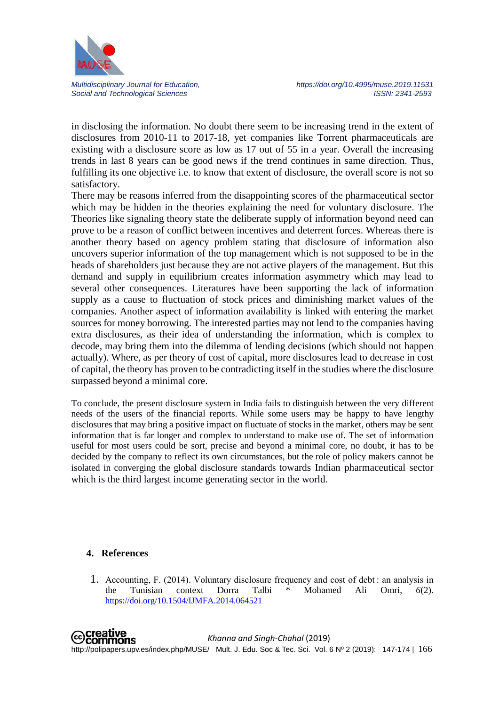

*Multidisciplinary Journal for Education, https://doi.org/10.4995/muse.2019.11531* Social and Technological Sciences **ISSN: 2341-2593** ISSN: 2341-2593

in disclosing the information. No doubt there seem to be increasing trend in the extent of disclosures from 2010-11 to 2017-18, yet companies like Torrent pharmaceuticals are existing with a disclosure score as low as 17 out of 55 in a year. Overall the increasing trends in last 8 years can be good news if the trend continues in same direction. Thus, fulfilling its one objective i.e. to know that extent of disclosure, the overall score is not so satisfactory.

There may be reasons inferred from the disappointing scores of the pharmaceutical sector which may be hidden in the theories explaining the need for voluntary disclosure. The Theories like signaling theory state the deliberate supply of information beyond need can prove to be a reason of conflict between incentives and deterrent forces. Whereas there is another theory based on agency problem stating that disclosure of information also uncovers superior information of the top management which is not supposed to be in the heads of shareholders just because they are not active players of the management. But this demand and supply in equilibrium creates information asymmetry which may lead to several other consequences. Literatures have been supporting the lack of information supply as a cause to fluctuation of stock prices and diminishing market values of the companies. Another aspect of information availability is linked with entering the market sources for money borrowing. The interested parties may not lend to the companies having extra disclosures, as their idea of understanding the information, which is complex to decode, may bring them into the dilemma of lending decisions (which should not happen actually). Where, as per theory of cost of capital, more disclosures lead to decrease in cost of capital, the theory has proven to be contradicting itself in the studies where the disclosure surpassed beyond a minimal core.

To conclude, the present disclosure system in India fails to distinguish between the very different needs of the users of the financial reports. While some users may be happy to have lengthy disclosures that may bring a positive impact on fluctuate of stocks in the market, others may be sent information that is far longer and complex to understand to make use of. The set of information useful for most users could be sort, precise and beyond a minimal core, no doubt, it has to be decided by the company to reflect its own circumstances, but the role of policy makers cannot be isolated in converging the global disclosure standards towards Indian pharmaceutical sector which is the third largest income generating sector in the world.

#### **4. References**

1. Accounting, F. (2014). Voluntary disclosure frequency and cost of debt : an analysis in the Tunisian context Dorra Talbi \* Mohamed Ali Omri, *6*(2). <https://doi.org/10.1504/IJMFA.2014.064521>

**⊙Creative**<br>
©Commons *Khanna and Singh-Chahal* (2019) http://polipapers.upv.es/index.php/MUSE/ Mult. J. Edu. Soc & Tec. Sci. Vol. 6 Nº 2 (2019): 147-174 | 166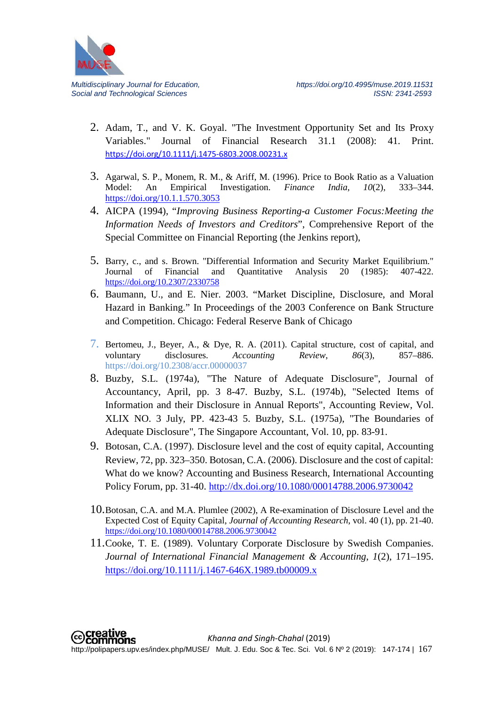

- 2. Adam, T., and V. K. Goyal. "The Investment Opportunity Set and Its Proxy Variables." Journal of Financial Research 31.1 (2008): 41. Print. <https://doi.org/10.1111/j.1475-6803.2008.00231.x>
- 3. Agarwal, S. P., Monem, R. M., & Ariff, M. (1996). Price to Book Ratio as a Valuation Model: An Empirical Investigation. *Finance India*,  $10(2)$ , 333–344. Finance India, 10(2), <https://doi.org/10.1.1.570.3053>
- 4. AICPA (1994), "*Improving Business Reporting-a Customer Focus:Meeting the Information Needs of Investors and Creditors*", Comprehensive Report of the Special Committee on Financial Reporting (the Jenkins report),
- 5. Barry, c., and s. Brown. "Differential Information and Security Market Equilibrium."<br>Journal of Financial and Quantitative Analysis 20 (1985): 407-422. Quantitative Analysis 20 (1985): 407-422. <https://doi.org/10.2307/2330758>
- 6. Baumann, U., and E. Nier. 2003. "Market Discipline, Disclosure, and Moral Hazard in Banking." In Proceedings of the 2003 Conference on Bank Structure and Competition. Chicago: Federal Reserve Bank of Chicago
- 7. Bertomeu, J., Beyer, A., & Dye, R. A. (2011). Capital structure, cost of capital, and voluntary disclosures. *Accounting Review*, *86*(3), 857–886. https://doi.org/10.2308/accr.00000037
- 8. Buzby, S.L. (1974a), "The Nature of Adequate Disclosure", Journal of Accountancy, April, pp. 3 8-47. Buzby, S.L. (1974b), "Selected Items of Information and their Disclosure in Annual Reports", Accounting Review, Vol. XLIX NO. 3 July, PP. 423-43 5. Buzby, S.L. (1975a), "The Boundaries of Adequate Disclosure", The Singapore Accountant, Vol. 10, pp. 83-91.
- 9. Botosan, C.A. (1997). Disclosure level and the cost of equity capital, Accounting Review, 72, pp. 323–350. Botosan, C.A. (2006). Disclosure and the cost of capital: What do we know? Accounting and Business Research, International Accounting Policy Forum, pp. 31-40.<http://dx.doi.org/10.1080/00014788.2006.9730042>
- 10.Botosan, C.A. and M.A. Plumlee (2002), A Re-examination of Disclosure Level and the Expected Cost of Equity Capital, *Journal of Accounting Research*, vol. 40 (1), pp. 21-40. <https://doi.org/10.1080/00014788.2006.9730042>
- 11.Cooke, T. E. (1989). Voluntary Corporate Disclosure by Swedish Companies. *Journal of International Financial Management & Accounting*, *1*(2), 171–195. <https://doi.org/10.1111/j.1467-646X.1989.tb00009.x>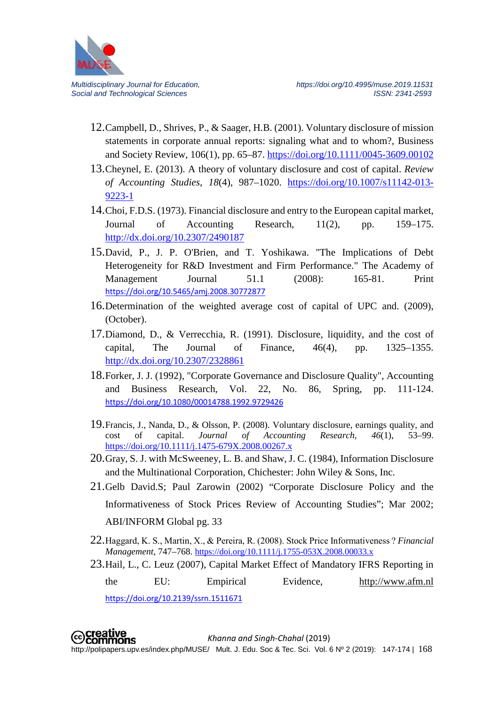

- 12.Campbell, D., Shrives, P., & Saager, H.B. (2001). Voluntary disclosure of mission statements in corporate annual reports: signaling what and to whom?, Business and Society Review, 106(1), pp. 65–87.<https://doi.org/10.1111/0045-3609.00102>
- 13.Cheynel, E. (2013). A theory of voluntary disclosure and cost of capital. *Review of Accounting Studies*, *18*(4), 987–1020. [https://doi.org/10.1007/s11142-013-](https://doi.org/10.1007/s11142-013-9223-1) [9223-1](https://doi.org/10.1007/s11142-013-9223-1)
- 14.Choi, F.D.S. (1973). Financial disclosure and entry to the European capital market, Journal of Accounting Research, 11(2), pp. 159–175. <http://dx.doi.org/10.2307/2490187>
- 15.David, P., J. P. O'Brien, and T. Yoshikawa. "The Implications of Debt Heterogeneity for R&D Investment and Firm Performance." The Academy of Management Journal 51.1 (2008): 165-81. Print <https://doi.org/10.5465/amj.2008.30772877>
- 16.Determination of the weighted average cost of capital of UPC and. (2009), (October).
- 17.Diamond, D., & Verrecchia, R. (1991). Disclosure, liquidity, and the cost of capital, The Journal of Finance,  $46(4)$ , pp.  $1325-1355$ . <http://dx.doi.org/10.2307/2328861>
- 18.Forker, J. J. (1992), "Corporate Governance and Disclosure Quality", Accounting and Business Research, Vol. 22, No. 86, Spring, pp. 111-124. <https://doi.org/10.1080/00014788.1992.9729426>
- 19. Francis, J., Nanda, D., & Olsson, P. (2008). Voluntary disclosure, earnings quality, and cost of capital. *Journal of Accounting Research*, 46(1), 53–99. cost of capital. *Journal of Accounting Research*, *46*(1), 53–99. <https://doi.org/10.1111/j.1475-679X.2008.00267.x>
- 20.Gray, S. J. with McSweeney, L. B. and Shaw, J. C. (1984), Information Disclosure and the Multinational Corporation, Chichester: John Wiley & Sons, Inc.
- 21.Gelb David.S; Paul Zarowin (2002) "Corporate Disclosure Policy and the Informativeness of Stock Prices Review of Accounting Studies"; Mar 2002; ABI/INFORM Global pg. 33
- 22.Haggard, K. S., Martin, X., & Pereira, R. (2008). Stock Price Informativeness ? *Financial Management*, 747–768. <https://doi.org/10.1111/j.1755-053X.2008.00033.x>
- 23.Hail, L., C. Leuz (2007), Capital Market Effect of Mandatory IFRS Reporting in the EU: Empirical Evidence, [http://www.afm.nl](http://www.afm.nl/)

<https://doi.org/10.2139/ssrn.1511671>

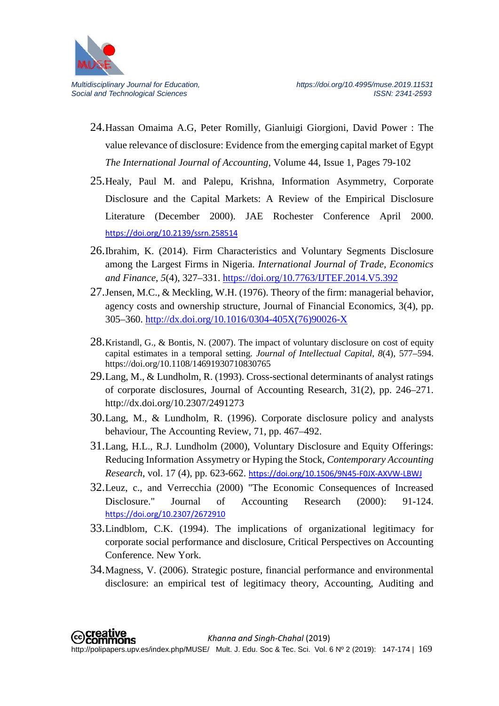

- 24.Hassan Omaima A.G, Peter Romilly, Gianluigi Giorgioni, David Power : The value relevance of disclosure: Evidence from the emerging capital market of Egypt *The International Journal of Accounting*, Volume 44, Issue 1, Pages 79-102
- 25.Healy, Paul M. and Palepu, Krishna, Information Asymmetry, Corporate Disclosure and the Capital Markets: A Review of the Empirical Disclosure Literature (December 2000). JAE Rochester Conference April 2000. <https://doi.org/10.2139/ssrn.258514>
- 26.Ibrahim, K. (2014). Firm Characteristics and Voluntary Segments Disclosure among the Largest Firms in Nigeria. *International Journal of Trade, Economics and Finance*, *5*(4), 327–331.<https://doi.org/10.7763/IJTEF.2014.V5.392>
- 27.Jensen, M.C., & Meckling, W.H. (1976). Theory of the firm: managerial behavior, agency costs and ownership structure, Journal of Financial Economics, 3(4), pp. 305–360. [http://dx.doi.org/10.1016/0304-405X\(76\)90026-X](http://dx.doi.org/10.1016/0304-405X(76)90026-X)
- 28.Kristandl, G., & Bontis, N. (2007). The impact of voluntary disclosure on cost of equity capital estimates in a temporal setting. *Journal of Intellectual Capital*, *8*(4), 577–594. https://doi.org/10.1108/14691930710830765
- 29.Lang, M., & Lundholm, R. (1993). Cross-sectional determinants of analyst ratings of corporate disclosures, Journal of Accounting Research, 31(2), pp. 246–271. http://dx.doi.org/10.2307/2491273
- 30.Lang, M., & Lundholm, R. (1996). Corporate disclosure policy and analysts behaviour, The Accounting Review, 71, pp. 467–492.
- 31.Lang, H.L., R.J. Lundholm (2000), Voluntary Disclosure and Equity Offerings: Reducing Information Assymetry or Hyping the Stock, *Contemporary Accounting Research*, vol. 17 (4), pp. 623-662. <https://doi.org/10.1506/9N45-F0JX-AXVW-LBWJ>
- 32.Leuz, c., and Verrecchia (2000) "The Economic Consequences of Increased Disclosure." Journal of Accounting Research (2000): 91-124. <https://doi.org/10.2307/2672910>
- 33.Lindblom, C.K. (1994). The implications of organizational legitimacy for corporate social performance and disclosure, Critical Perspectives on Accounting Conference. New York.
- 34.Magness, V. (2006). Strategic posture, financial performance and environmental disclosure: an empirical test of legitimacy theory, Accounting, Auditing and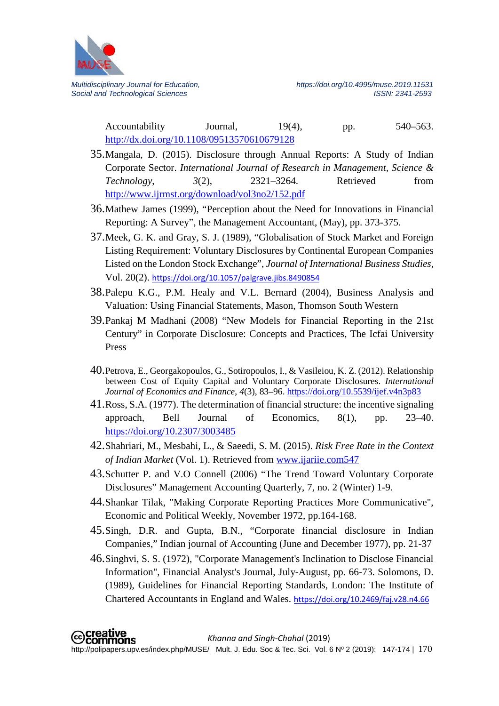

Accountability Journal, 19(4), pp. 540–563. <http://dx.doi.org/10.1108/09513570610679128>

- 35.Mangala, D. (2015). Disclosure through Annual Reports: A Study of Indian Corporate Sector. *International Journal of Research in Management, Science & Technology*, *3*(2), 2321–3264. Retrieved from <http://www.ijrmst.org/download/vol3no2/152.pdf>
- 36.Mathew James (1999), "Perception about the Need for Innovations in Financial Reporting: A Survey", the Management Accountant, (May), pp. 373-375.
- 37.Meek, G. K. and Gray, S. J. (1989), "Globalisation of Stock Market and Foreign Listing Requirement: Voluntary Disclosures by Continental European Companies Listed on the London Stock Exchange", *Journal of International Business Studies*, Vol. 20(2). <https://doi.org/10.1057/palgrave.jibs.8490854>
- 38.Palepu K.G., P.M. Healy and V.L. Bernard (2004), Business Analysis and Valuation: Using Financial Statements, Mason, Thomson South Western
- 39.Pankaj M Madhani (2008) "New Models for Financial Reporting in the 21st Century" in Corporate Disclosure: Concepts and Practices, The Icfai University Press
- 40.Petrova, E., Georgakopoulos, G., Sotiropoulos, I., & Vasileiou, K. Z. (2012). Relationship between Cost of Equity Capital and Voluntary Corporate Disclosures. *International Journal of Economics and Finance*, *4*(3), 83–96.<https://doi.org/10.5539/ijef.v4n3p83>
- 41.Ross, S.A. (1977). The determination of financial structure: the incentive signaling approach, Bell Journal of Economics, 8(1), pp. 23–40. <https://doi.org/10.2307/3003485>
- 42.Shahriari, M., Mesbahi, L., & Saeedi, S. M. (2015). *Risk Free Rate in the Context of Indian Market* (Vol. 1). Retrieved from [www.ijariie.com547](http://www.ijariie.com547/)
- 43.Schutter P. and V.O Connell (2006) "The Trend Toward Voluntary Corporate Disclosures" Management Accounting Quarterly, 7, no. 2 (Winter) 1-9.
- 44.Shankar Tilak, "Making Corporate Reporting Practices More Communicative", Economic and Political Weekly, November 1972, pp.164-168.
- 45.Singh, D.R. and Gupta, B.N., "Corporate financial disclosure in Indian Companies," Indian journal of Accounting (June and December 1977), pp. 21-37
- 46.Singhvi, S. S. (1972), "Corporate Management's Inclination to Disclose Financial Information", Financial Analyst's Journal, July-August, pp. 66-73. Solomons, D. (1989), Guidelines for Financial Reporting Standards, London: The Institute of Chartered Accountants in England and Wales. <https://doi.org/10.2469/faj.v28.n4.66>

**©Creative**<br>©Commons *Khanna and Singh-Chahal* (2019) http://polipapers.upv.es/index.php/MUSE/ Mult. J. Edu. Soc & Tec. Sci. Vol. 6 Nº 2 (2019): 147-174 | 170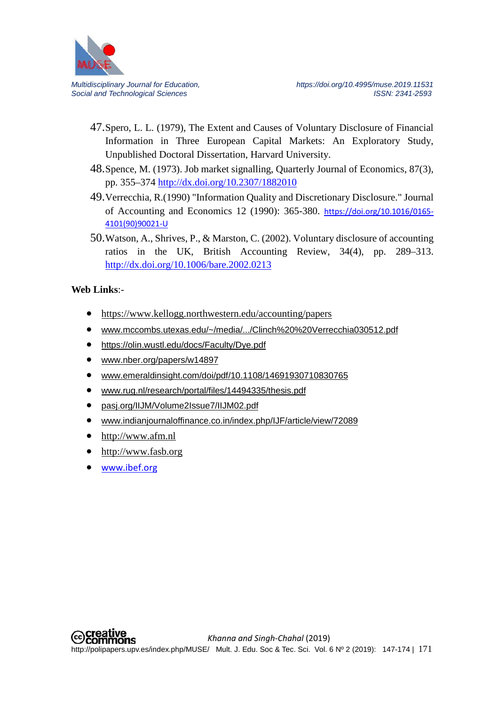

- 47.Spero, L. L. (1979), The Extent and Causes of Voluntary Disclosure of Financial Information in Three European Capital Markets: An Exploratory Study, Unpublished Doctoral Dissertation, Harvard University.
- 48.Spence, M. (1973). Job market signalling, Quarterly Journal of Economics, 87(3), pp. 355–374<http://dx.doi.org/10.2307/1882010>
- 49.Verrecchia, R.(1990) "Information Quality and Discretionary Disclosure." Journal of Accounting and Economics 12 (1990): 365-380. [https://doi.org/10.1016/0165-](https://doi.org/10.1016/0165-4101(90)90021-U) [4101\(90\)90021-U](https://doi.org/10.1016/0165-4101(90)90021-U)
- 50.Watson, A., Shrives, P., & Marston, C. (2002). Voluntary disclosure of accounting ratios in the UK, British Accounting Review, 34(4), pp. 289–313. <http://dx.doi.org/10.1006/bare.2002.0213>

## **Web Links**:-

- <https://www.kellogg.northwestern.edu/accounting/papers>
- www.mccombs.utexas.edu/~/media/.../Clinch%20%20Verrecchia030512.pdf
- <https://olin.wustl.edu/docs/Faculty/Dye.pdf>
- [www.nber.org/papers/w14897](http://www.nber.org/papers/w14897)
- [www.emeraldinsight.com/doi/pdf/10.1108/14691930710830765](http://www.emeraldinsight.com/doi/pdf/10.1108/14691930710830765)
- [www.rug.nl/research/portal/files/14494335/thesis.pdf](http://www.rug.nl/research/portal/files/14494335/thesis.pdf)
- pasj.org/IIJM/Volume2Issue7/IIJM02.pdf
- [www.indianjournaloffinance.co.in/index.php/IJF/article/view/72089](http://www.indianjournaloffinance.co.in/index.php/IJF/article/view/72089)
- [http://www.afm.nl](http://www.afm.nl/)
- [http://www.fasb.org](http://www.fasb.org/)
- [www.ibef.org](http://www.ibef.org/)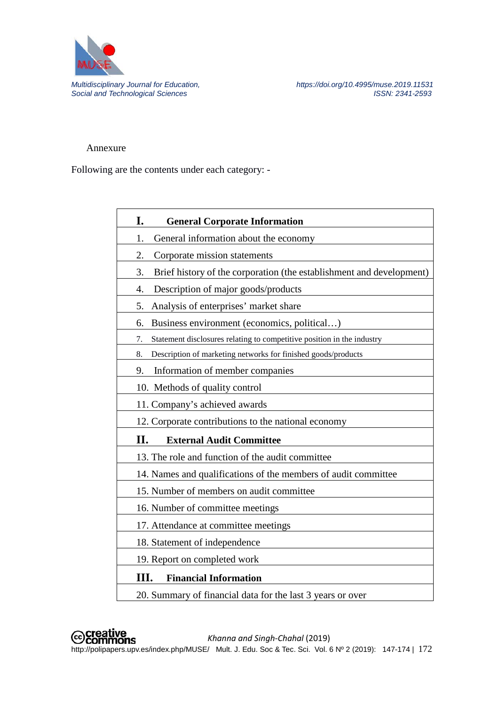

*Multidisciplinary Journal for Education, https://doi.org/10.4995/muse.2019.11531*

#### Annexure

Following are the contents under each category: -

| I.<br><b>General Corporate Information</b>                                   |
|------------------------------------------------------------------------------|
| General information about the economy<br>1.                                  |
| Corporate mission statements<br>2.                                           |
| Brief history of the corporation (the establishment and development)<br>3.   |
| 4.<br>Description of major goods/products                                    |
| Analysis of enterprises' market share<br>5.                                  |
| Business environment (economics, political)<br>6.                            |
| Statement disclosures relating to competitive position in the industry<br>7. |
| Description of marketing networks for finished goods/products<br>8.          |
| Information of member companies<br>9.                                        |
| 10. Methods of quality control                                               |
| 11. Company's achieved awards                                                |
| 12. Corporate contributions to the national economy                          |
| П.<br><b>External Audit Committee</b>                                        |
| 13. The role and function of the audit committee                             |
| 14. Names and qualifications of the members of audit committee               |
| 15. Number of members on audit committee                                     |
| 16. Number of committee meetings                                             |
| 17. Attendance at committee meetings                                         |
| 18. Statement of independence                                                |
| 19. Report on completed work                                                 |
| Ш.<br><b>Financial Information</b>                                           |
| 20. Summary of financial data for the last 3 years or over                   |

 *Khanna and Singh-Chahal* (2019) **Coliparers.**<br>http://polipapers.upv.es/index.php/MUSE/ Mult. J. Edu. Soc & Tec. Sci. Vol. 6 Nº 2 (2019): 147-174 | 172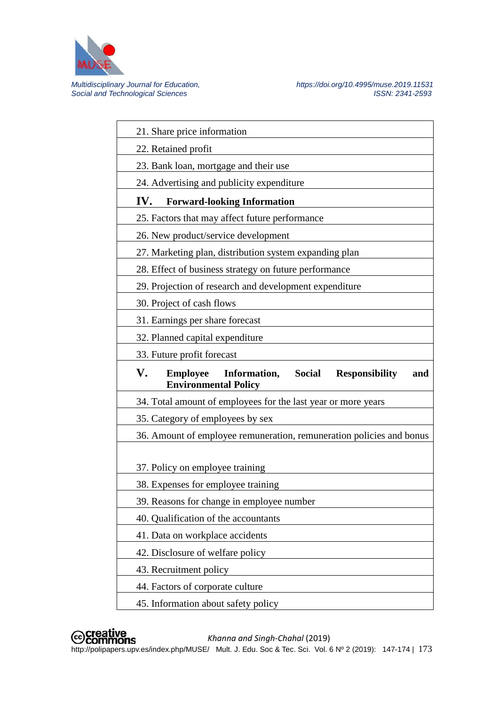

*Multidisciplinary Journal for Education, https://doi.org/10.4995/muse.2019.11531*

| 21. Share price information                                                                                           |
|-----------------------------------------------------------------------------------------------------------------------|
|                                                                                                                       |
| 22. Retained profit                                                                                                   |
| 23. Bank loan, mortgage and their use                                                                                 |
| 24. Advertising and publicity expenditure                                                                             |
| IV.<br><b>Forward-looking Information</b>                                                                             |
| 25. Factors that may affect future performance                                                                        |
| 26. New product/service development                                                                                   |
| 27. Marketing plan, distribution system expanding plan                                                                |
| 28. Effect of business strategy on future performance                                                                 |
| 29. Projection of research and development expenditure                                                                |
| 30. Project of cash flows                                                                                             |
| 31. Earnings per share forecast                                                                                       |
| 32. Planned capital expenditure                                                                                       |
| 33. Future profit forecast                                                                                            |
| V.<br><b>Employee</b><br>Information,<br><b>Social</b><br><b>Responsibility</b><br>and<br><b>Environmental Policy</b> |
|                                                                                                                       |
| 34. Total amount of employees for the last year or more years                                                         |
| 35. Category of employees by sex                                                                                      |
| 36. Amount of employee remuneration, remuneration policies and bonus                                                  |
|                                                                                                                       |
| 37. Policy on employee training                                                                                       |
| 38. Expenses for employee training                                                                                    |
| 39. Reasons for change in employee number                                                                             |
| 40. Qualification of the accountants                                                                                  |
| 41. Data on workplace accidents                                                                                       |
| 42. Disclosure of welfare policy                                                                                      |
| 43. Recruitment policy                                                                                                |
| 44. Factors of corporate culture                                                                                      |



*Khanna and Singh-Chahal* (2019)

**Coliparers.**<br>http://polipapers.upv.es/index.php/MUSE/ Mult. J. Edu. Soc & Tec. Sci. Vol. 6 Nº 2 (2019): 147-174 | 173